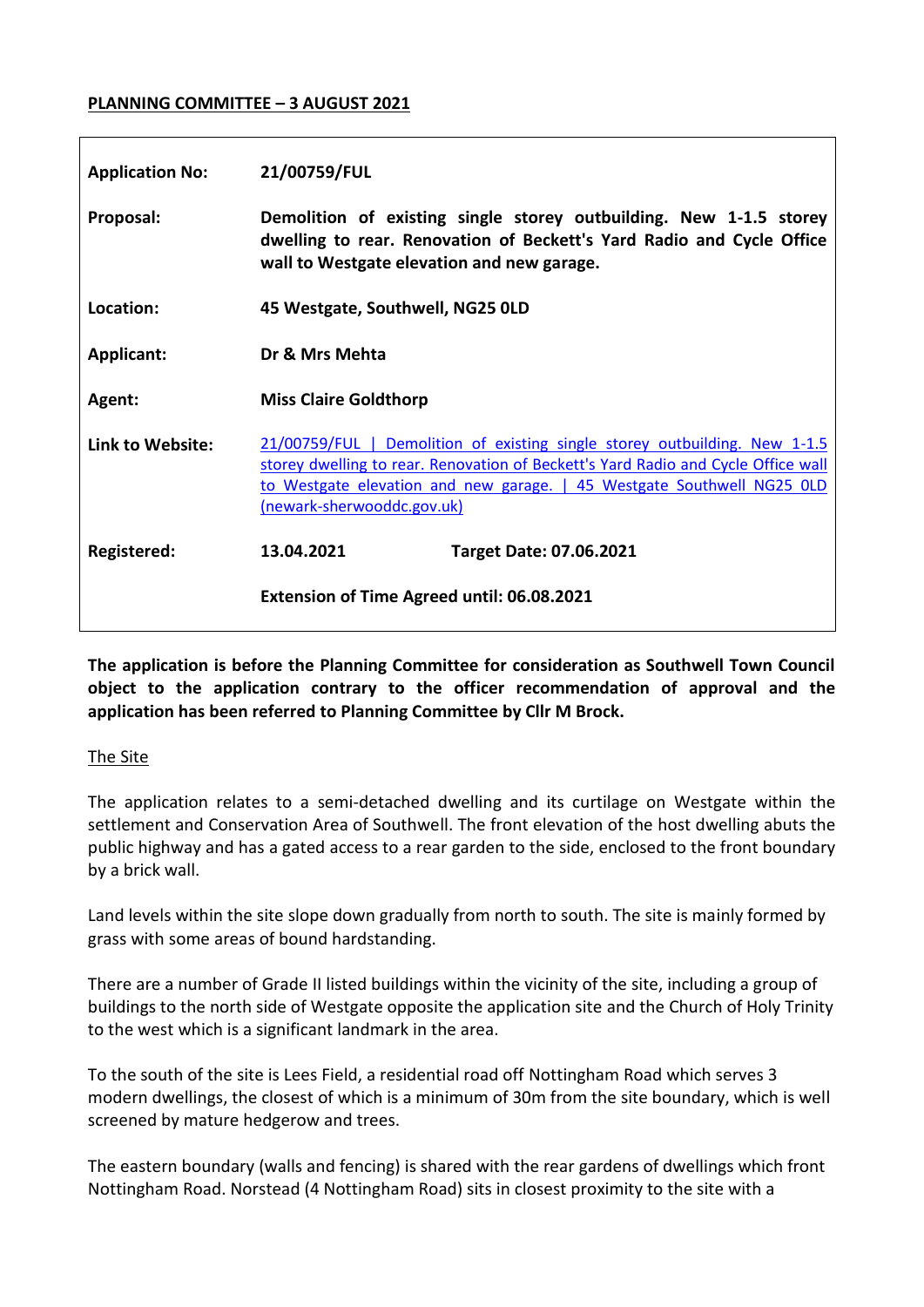# **PLANNING COMMITTEE – 3 AUGUST 2021**

| <b>Application No:</b> | 21/00759/FUL                                                                                                                                                                                                                                                            |
|------------------------|-------------------------------------------------------------------------------------------------------------------------------------------------------------------------------------------------------------------------------------------------------------------------|
| Proposal:              | Demolition of existing single storey outbuilding. New 1-1.5 storey<br>dwelling to rear. Renovation of Beckett's Yard Radio and Cycle Office<br>wall to Westgate elevation and new garage.                                                                               |
| Location:              | 45 Westgate, Southwell, NG25 0LD                                                                                                                                                                                                                                        |
| Applicant:             | Dr & Mrs Mehta                                                                                                                                                                                                                                                          |
| Agent:                 | <b>Miss Claire Goldthorp</b>                                                                                                                                                                                                                                            |
| Link to Website:       | 21/00759/FUL   Demolition of existing single storey outbuilding. New 1-1.5<br>storey dwelling to rear. Renovation of Beckett's Yard Radio and Cycle Office wall<br>to Westgate elevation and new garage.   45 Westgate Southwell NG25 OLD<br>(newark-sherwooddc.gov.uk) |
| Registered:            | 13.04.2021<br><b>Target Date: 07.06.2021</b>                                                                                                                                                                                                                            |
|                        | <b>Extension of Time Agreed until: 06.08.2021</b>                                                                                                                                                                                                                       |

**The application is before the Planning Committee for consideration as Southwell Town Council object to the application contrary to the officer recommendation of approval and the application has been referred to Planning Committee by Cllr M Brock.**

## The Site

The application relates to a semi-detached dwelling and its curtilage on Westgate within the settlement and Conservation Area of Southwell. The front elevation of the host dwelling abuts the public highway and has a gated access to a rear garden to the side, enclosed to the front boundary by a brick wall.

Land levels within the site slope down gradually from north to south. The site is mainly formed by grass with some areas of bound hardstanding.

There are a number of Grade II listed buildings within the vicinity of the site, including a group of buildings to the north side of Westgate opposite the application site and the Church of Holy Trinity to the west which is a significant landmark in the area.

To the south of the site is Lees Field, a residential road off Nottingham Road which serves 3 modern dwellings, the closest of which is a minimum of 30m from the site boundary, which is well screened by mature hedgerow and trees.

The eastern boundary (walls and fencing) is shared with the rear gardens of dwellings which front Nottingham Road. Norstead (4 Nottingham Road) sits in closest proximity to the site with a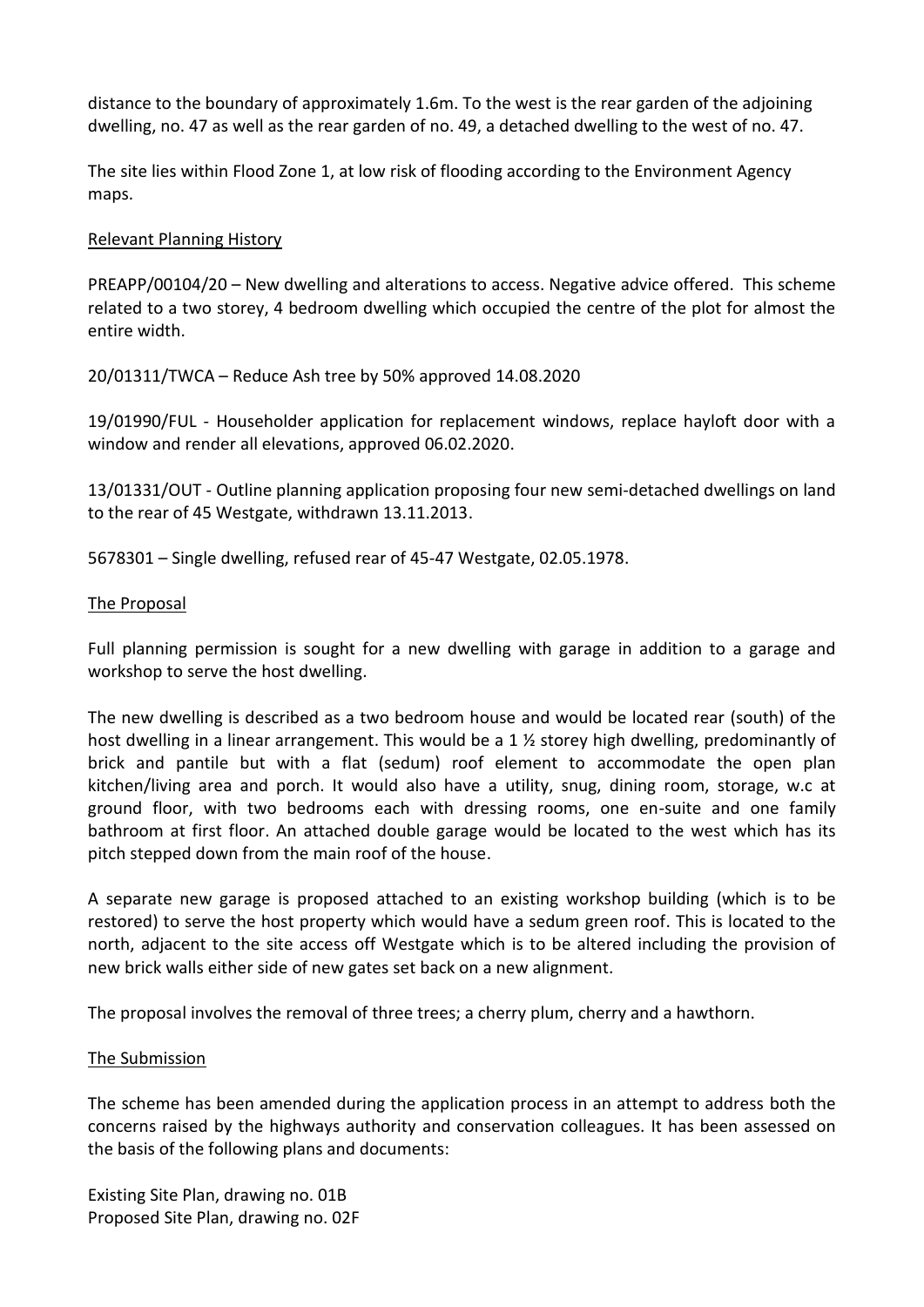distance to the boundary of approximately 1.6m. To the west is the rear garden of the adjoining dwelling, no. 47 as well as the rear garden of no. 49, a detached dwelling to the west of no. 47.

The site lies within Flood Zone 1, at low risk of flooding according to the Environment Agency maps.

## Relevant Planning History

PREAPP/00104/20 – New dwelling and alterations to access. Negative advice offered. This scheme related to a two storey, 4 bedroom dwelling which occupied the centre of the plot for almost the entire width.

20/01311/TWCA – Reduce Ash tree by 50% approved 14.08.2020

19/01990/FUL - Householder application for replacement windows, replace hayloft door with a window and render all elevations, approved 06.02.2020.

13/01331/OUT - Outline planning application proposing four new semi-detached dwellings on land to the rear of 45 Westgate, withdrawn 13.11.2013.

5678301 – Single dwelling, refused rear of 45-47 Westgate, 02.05.1978.

## The Proposal

Full planning permission is sought for a new dwelling with garage in addition to a garage and workshop to serve the host dwelling.

The new dwelling is described as a two bedroom house and would be located rear (south) of the host dwelling in a linear arrangement. This would be a 1  $\frac{1}{2}$  storey high dwelling, predominantly of brick and pantile but with a flat (sedum) roof element to accommodate the open plan kitchen/living area and porch. It would also have a utility, snug, dining room, storage, w.c at ground floor, with two bedrooms each with dressing rooms, one en-suite and one family bathroom at first floor. An attached double garage would be located to the west which has its pitch stepped down from the main roof of the house.

A separate new garage is proposed attached to an existing workshop building (which is to be restored) to serve the host property which would have a sedum green roof. This is located to the north, adjacent to the site access off Westgate which is to be altered including the provision of new brick walls either side of new gates set back on a new alignment.

The proposal involves the removal of three trees; a cherry plum, cherry and a hawthorn.

## The Submission

The scheme has been amended during the application process in an attempt to address both the concerns raised by the highways authority and conservation colleagues. It has been assessed on the basis of the following plans and documents:

Existing Site Plan, drawing no. 01B Proposed Site Plan, drawing no. 02F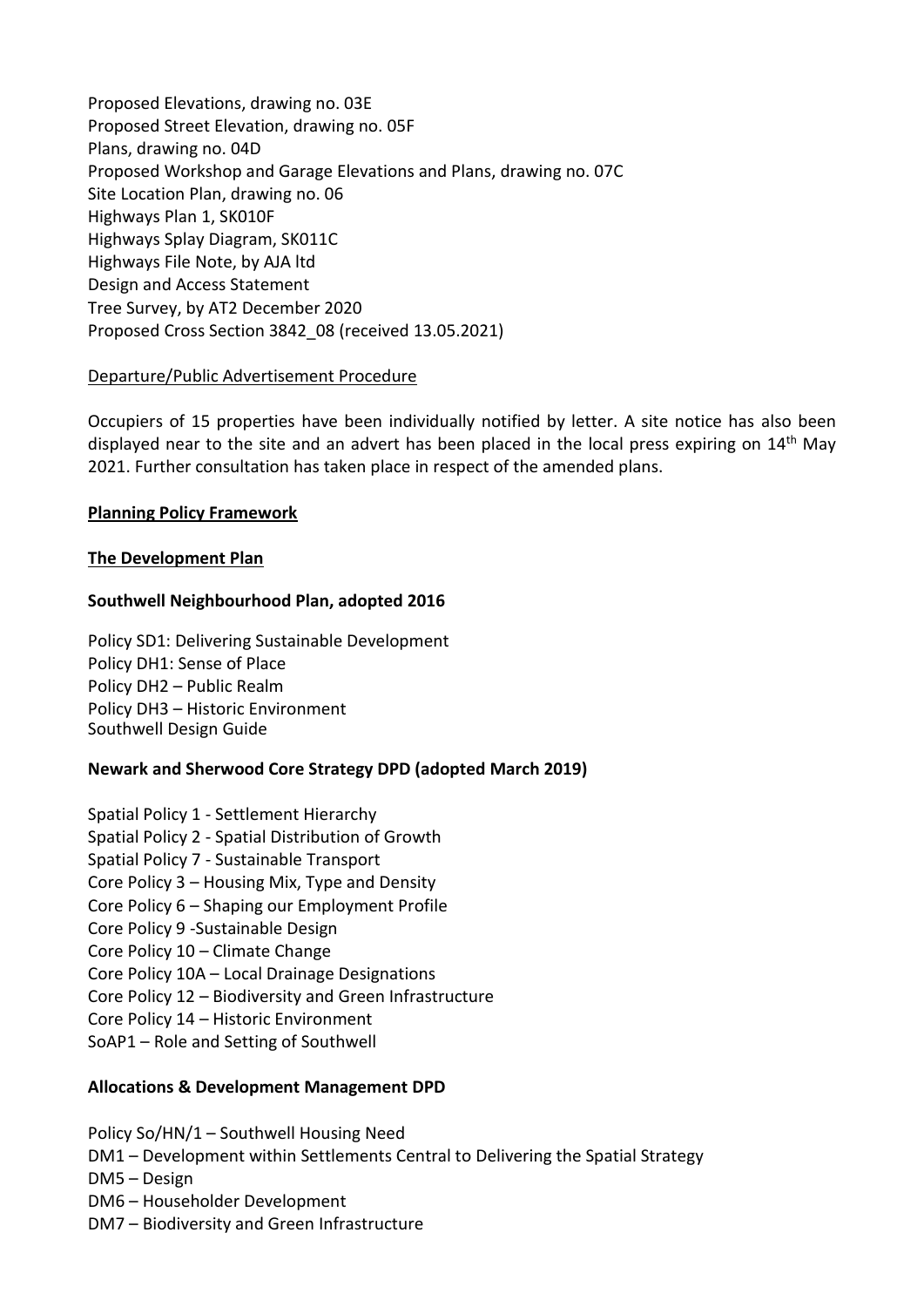Proposed Elevations, drawing no. 03E Proposed Street Elevation, drawing no. 05F Plans, drawing no. 04D Proposed Workshop and Garage Elevations and Plans, drawing no. 07C Site Location Plan, drawing no. 06 Highways Plan 1, SK010F Highways Splay Diagram, SK011C Highways File Note, by AJA ltd Design and Access Statement Tree Survey, by AT2 December 2020 Proposed Cross Section 3842\_08 (received 13.05.2021)

# Departure/Public Advertisement Procedure

Occupiers of 15 properties have been individually notified by letter. A site notice has also been displayed near to the site and an advert has been placed in the local press expiring on  $14<sup>th</sup>$  May 2021. Further consultation has taken place in respect of the amended plans.

# **Planning Policy Framework**

# **The Development Plan**

# **Southwell Neighbourhood Plan, adopted 2016**

Policy SD1: Delivering Sustainable Development Policy DH1: Sense of Place Policy DH2 – Public Realm Policy DH3 – Historic Environment Southwell Design Guide

# **Newark and Sherwood Core Strategy DPD (adopted March 2019)**

Spatial Policy 1 - Settlement Hierarchy Spatial Policy 2 - Spatial Distribution of Growth Spatial Policy 7 - Sustainable Transport Core Policy 3 – Housing Mix, Type and Density Core Policy 6 – Shaping our Employment Profile Core Policy 9 -Sustainable Design Core Policy 10 – Climate Change Core Policy 10A – Local Drainage Designations Core Policy 12 – Biodiversity and Green Infrastructure Core Policy 14 – Historic Environment SoAP1 – Role and Setting of Southwell

## **Allocations & Development Management DPD**

Policy So/HN/1 – Southwell Housing Need

- DM1 Development within Settlements Central to Delivering the Spatial Strategy
- DM5 Design
- DM6 Householder Development
- DM7 Biodiversity and Green Infrastructure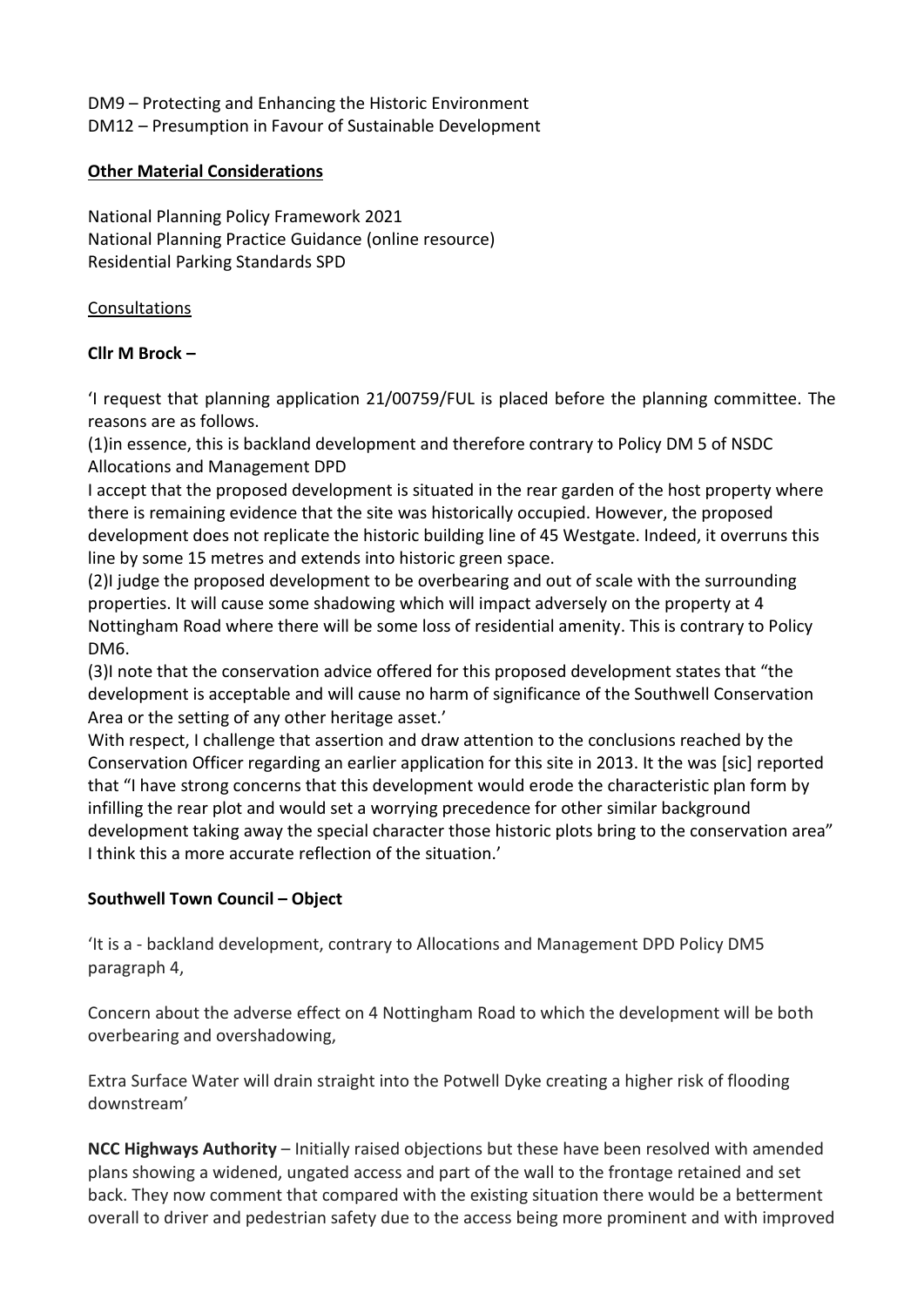DM9 – Protecting and Enhancing the Historic Environment DM12 – Presumption in Favour of Sustainable Development

# **Other Material Considerations**

National Planning Policy Framework 2021 National Planning Practice Guidance (online resource) Residential Parking Standards SPD

# **Consultations**

# **Cllr M Brock –**

'I request that planning application 21/00759/FUL is placed before the planning committee. The reasons are as follows.

(1)in essence, this is backland development and therefore contrary to Policy DM 5 of NSDC Allocations and Management DPD

I accept that the proposed development is situated in the rear garden of the host property where there is remaining evidence that the site was historically occupied. However, the proposed development does not replicate the historic building line of 45 Westgate. Indeed, it overruns this line by some 15 metres and extends into historic green space.

(2)I judge the proposed development to be overbearing and out of scale with the surrounding properties. It will cause some shadowing which will impact adversely on the property at 4 Nottingham Road where there will be some loss of residential amenity. This is contrary to Policy DM6.

(3)I note that the conservation advice offered for this proposed development states that "the development is acceptable and will cause no harm of significance of the Southwell Conservation Area or the setting of any other heritage asset.'

With respect, I challenge that assertion and draw attention to the conclusions reached by the Conservation Officer regarding an earlier application for this site in 2013. It the was [sic] reported that "I have strong concerns that this development would erode the characteristic plan form by infilling the rear plot and would set a worrying precedence for other similar background development taking away the special character those historic plots bring to the conservation area" I think this a more accurate reflection of the situation.'

# **Southwell Town Council – Object**

'It is a - backland development, contrary to Allocations and Management DPD Policy DM5 paragraph 4,

Concern about the adverse effect on 4 Nottingham Road to which the development will be both overbearing and overshadowing,

Extra Surface Water will drain straight into the Potwell Dyke creating a higher risk of flooding downstream'

**NCC Highways Authority** – Initially raised objections but these have been resolved with amended plans showing a widened, ungated access and part of the wall to the frontage retained and set back. They now comment that compared with the existing situation there would be a betterment overall to driver and pedestrian safety due to the access being more prominent and with improved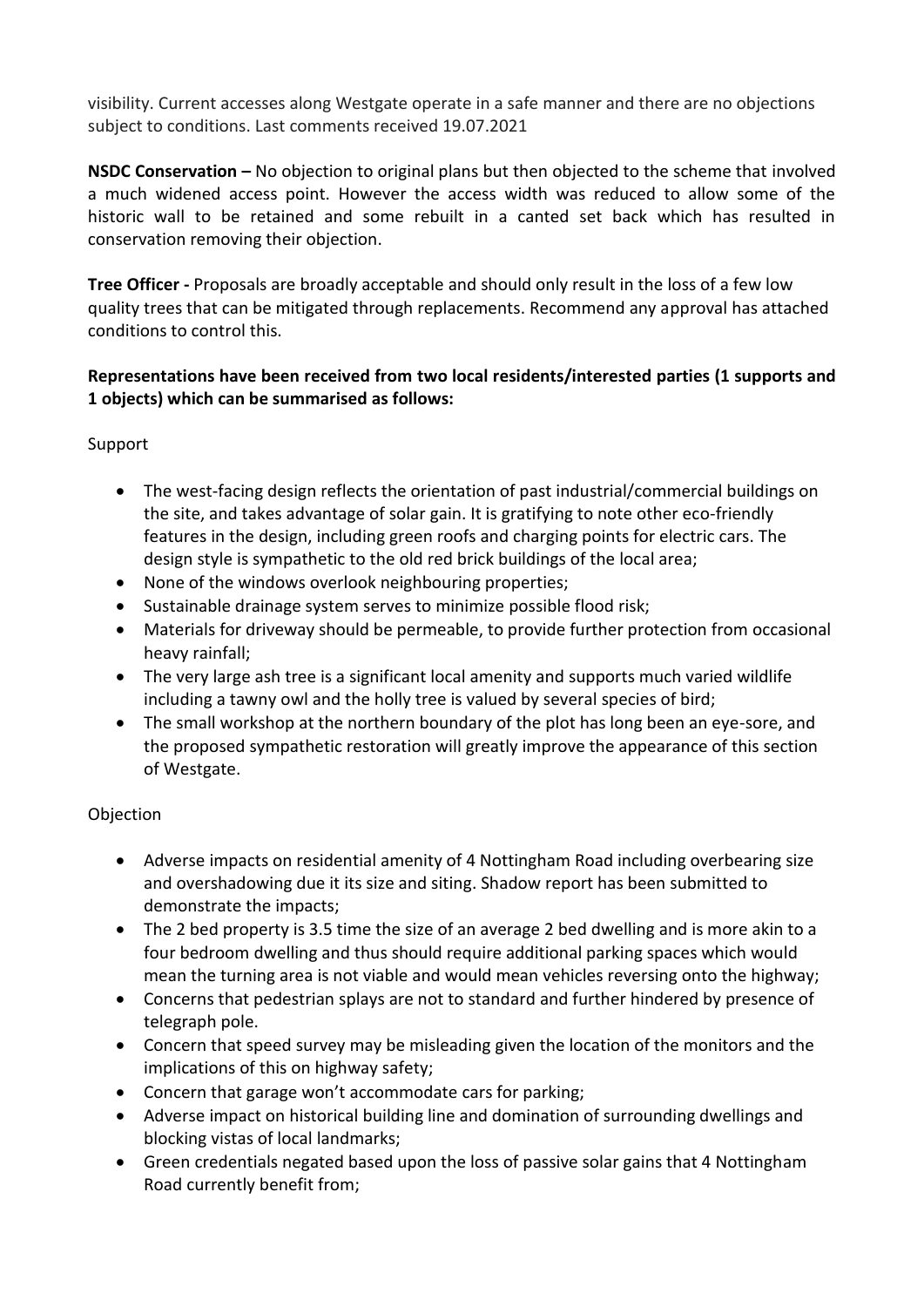visibility. Current accesses along Westgate operate in a safe manner and there are no objections subject to conditions. Last comments received 19.07.2021

**NSDC Conservation –** No objection to original plans but then objected to the scheme that involved a much widened access point. However the access width was reduced to allow some of the historic wall to be retained and some rebuilt in a canted set back which has resulted in conservation removing their objection.

**Tree Officer -** Proposals are broadly acceptable and should only result in the loss of a few low quality trees that can be mitigated through replacements. Recommend any approval has attached conditions to control this.

# **Representations have been received from two local residents/interested parties (1 supports and 1 objects) which can be summarised as follows:**

# Support

- The west-facing design reflects the orientation of past industrial/commercial buildings on the site, and takes advantage of solar gain. It is gratifying to note other eco-friendly features in the design, including green roofs and charging points for electric cars. The design style is sympathetic to the old red brick buildings of the local area;
- None of the windows overlook neighbouring properties;
- Sustainable drainage system serves to minimize possible flood risk;
- Materials for driveway should be permeable, to provide further protection from occasional heavy rainfall;
- The very large ash tree is a significant local amenity and supports much varied wildlife including a tawny owl and the holly tree is valued by several species of bird;
- The small workshop at the northern boundary of the plot has long been an eye-sore, and the proposed sympathetic restoration will greatly improve the appearance of this section of Westgate.

# **Objection**

- Adverse impacts on residential amenity of 4 Nottingham Road including overbearing size and overshadowing due it its size and siting. Shadow report has been submitted to demonstrate the impacts;
- The 2 bed property is 3.5 time the size of an average 2 bed dwelling and is more akin to a four bedroom dwelling and thus should require additional parking spaces which would mean the turning area is not viable and would mean vehicles reversing onto the highway;
- Concerns that pedestrian splays are not to standard and further hindered by presence of telegraph pole.
- Concern that speed survey may be misleading given the location of the monitors and the implications of this on highway safety;
- Concern that garage won't accommodate cars for parking;
- Adverse impact on historical building line and domination of surrounding dwellings and blocking vistas of local landmarks;
- Green credentials negated based upon the loss of passive solar gains that 4 Nottingham Road currently benefit from;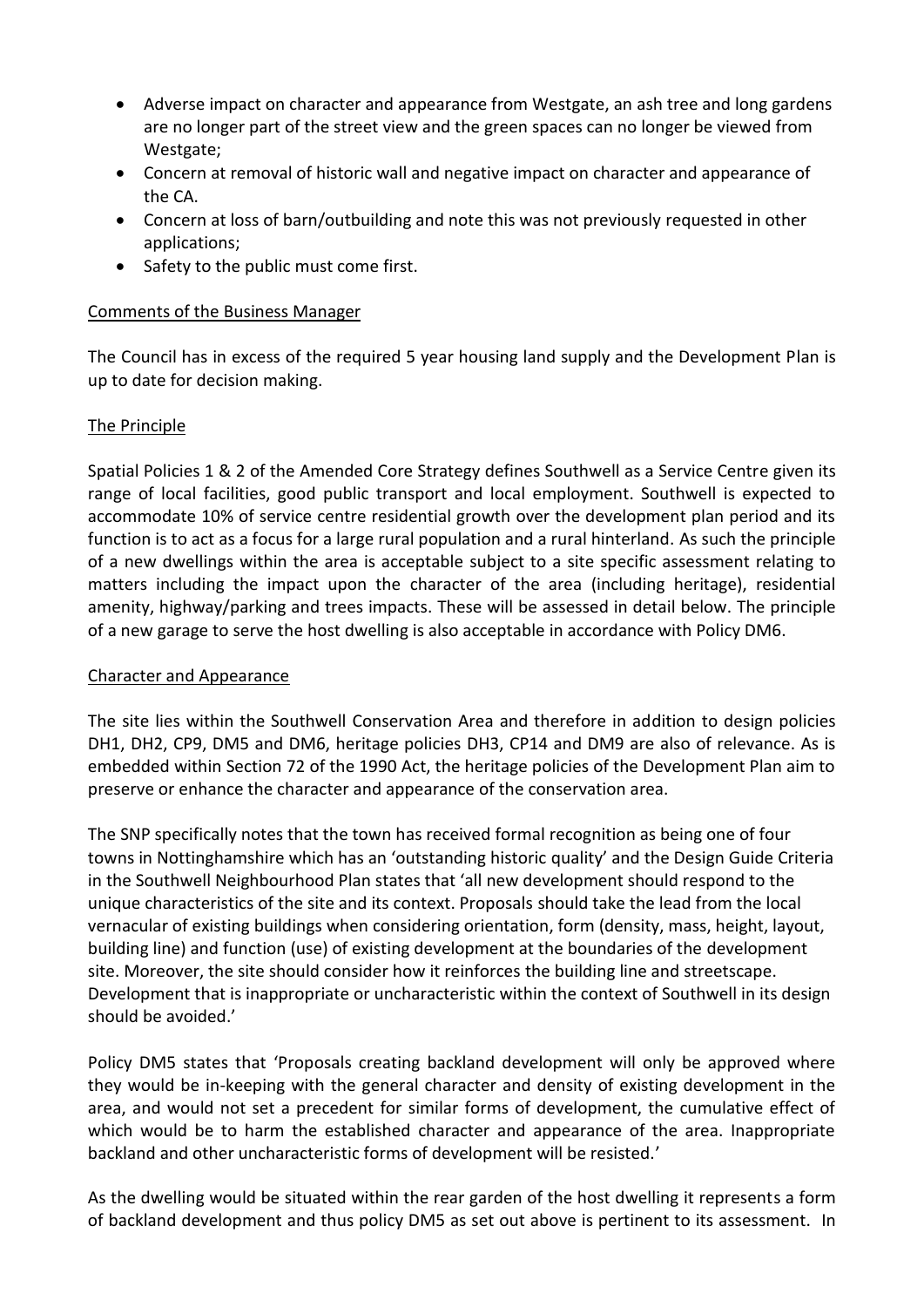- Adverse impact on character and appearance from Westgate, an ash tree and long gardens are no longer part of the street view and the green spaces can no longer be viewed from Westgate;
- Concern at removal of historic wall and negative impact on character and appearance of the CA.
- Concern at loss of barn/outbuilding and note this was not previously requested in other applications;
- Safety to the public must come first.

# Comments of the Business Manager

The Council has in excess of the required 5 year housing land supply and the Development Plan is up to date for decision making.

# The Principle

Spatial Policies 1 & 2 of the Amended Core Strategy defines Southwell as a Service Centre given its range of local facilities, good public transport and local employment. Southwell is expected to accommodate 10% of service centre residential growth over the development plan period and its function is to act as a focus for a large rural population and a rural hinterland. As such the principle of a new dwellings within the area is acceptable subject to a site specific assessment relating to matters including the impact upon the character of the area (including heritage), residential amenity, highway/parking and trees impacts. These will be assessed in detail below. The principle of a new garage to serve the host dwelling is also acceptable in accordance with Policy DM6.

## Character and Appearance

The site lies within the Southwell Conservation Area and therefore in addition to design policies DH1, DH2, CP9, DM5 and DM6, heritage policies DH3, CP14 and DM9 are also of relevance. As is embedded within Section 72 of the 1990 Act, the heritage policies of the Development Plan aim to preserve or enhance the character and appearance of the conservation area.

The SNP specifically notes that the town has received formal recognition as being one of four towns in Nottinghamshire which has an 'outstanding historic quality' and the Design Guide Criteria in the Southwell Neighbourhood Plan states that 'all new development should respond to the unique characteristics of the site and its context. Proposals should take the lead from the local vernacular of existing buildings when considering orientation, form (density, mass, height, layout, building line) and function (use) of existing development at the boundaries of the development site. Moreover, the site should consider how it reinforces the building line and streetscape. Development that is inappropriate or uncharacteristic within the context of Southwell in its design should be avoided.'

Policy DM5 states that 'Proposals creating backland development will only be approved where they would be in-keeping with the general character and density of existing development in the area, and would not set a precedent for similar forms of development, the cumulative effect of which would be to harm the established character and appearance of the area. Inappropriate backland and other uncharacteristic forms of development will be resisted.'

As the dwelling would be situated within the rear garden of the host dwelling it represents a form of backland development and thus policy DM5 as set out above is pertinent to its assessment. In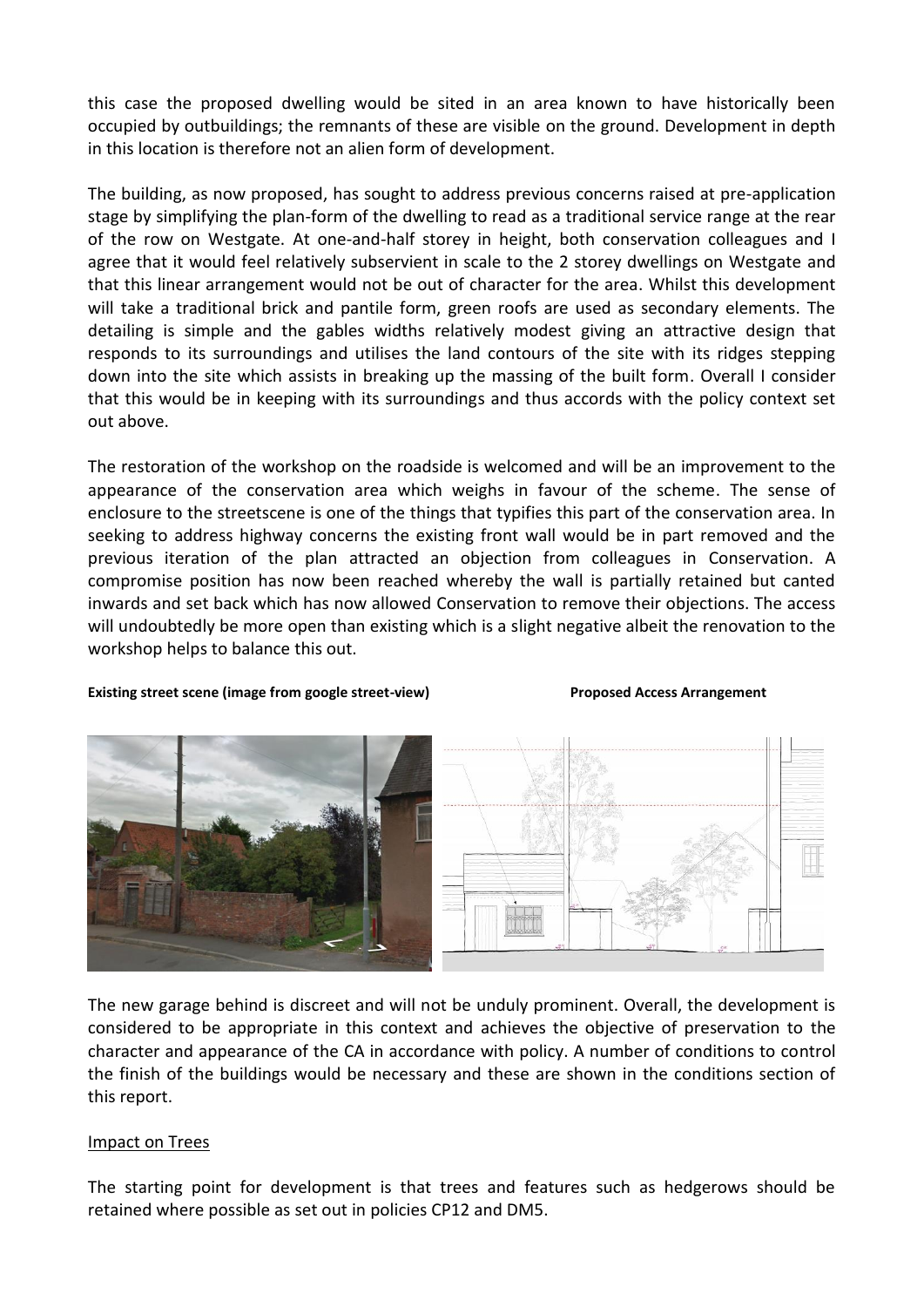this case the proposed dwelling would be sited in an area known to have historically been occupied by outbuildings; the remnants of these are visible on the ground. Development in depth in this location is therefore not an alien form of development.

The building, as now proposed, has sought to address previous concerns raised at pre-application stage by simplifying the plan-form of the dwelling to read as a traditional service range at the rear of the row on Westgate. At one-and-half storey in height, both conservation colleagues and I agree that it would feel relatively subservient in scale to the 2 storey dwellings on Westgate and that this linear arrangement would not be out of character for the area. Whilst this development will take a traditional brick and pantile form, green roofs are used as secondary elements. The detailing is simple and the gables widths relatively modest giving an attractive design that responds to its surroundings and utilises the land contours of the site with its ridges stepping down into the site which assists in breaking up the massing of the built form. Overall I consider that this would be in keeping with its surroundings and thus accords with the policy context set out above.

The restoration of the workshop on the roadside is welcomed and will be an improvement to the appearance of the conservation area which weighs in favour of the scheme. The sense of enclosure to the streetscene is one of the things that typifies this part of the conservation area. In seeking to address highway concerns the existing front wall would be in part removed and the previous iteration of the plan attracted an objection from colleagues in Conservation. A compromise position has now been reached whereby the wall is partially retained but canted inwards and set back which has now allowed Conservation to remove their objections. The access will undoubtedly be more open than existing which is a slight negative albeit the renovation to the workshop helps to balance this out.

### **Existing street scene (image from google street-view) example 3 and 2 Proposed Access Arrangement**



The new garage behind is discreet and will not be unduly prominent. Overall, the development is considered to be appropriate in this context and achieves the objective of preservation to the character and appearance of the CA in accordance with policy. A number of conditions to control the finish of the buildings would be necessary and these are shown in the conditions section of this report.

## Impact on Trees

The starting point for development is that trees and features such as hedgerows should be retained where possible as set out in policies CP12 and DM5.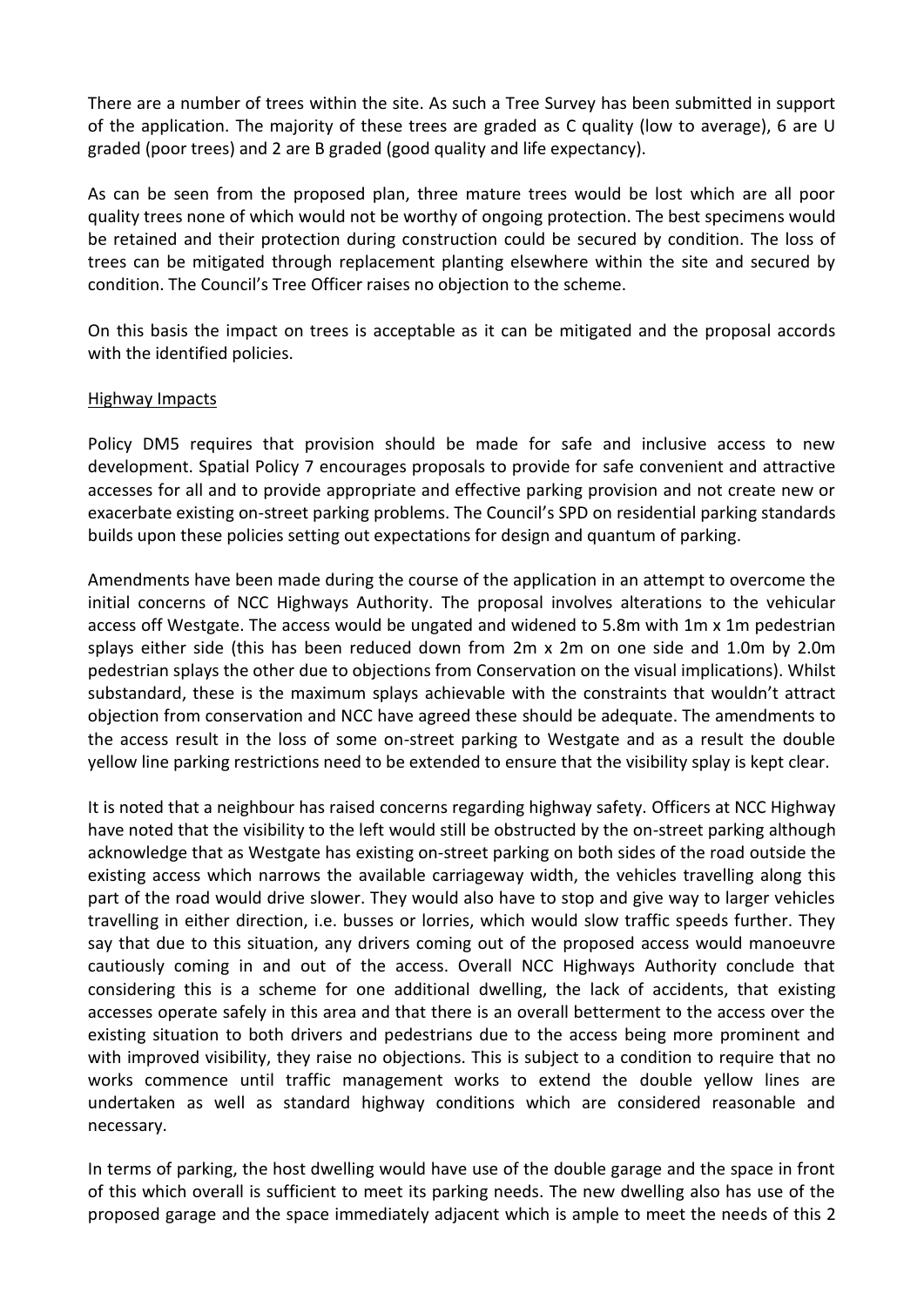There are a number of trees within the site. As such a Tree Survey has been submitted in support of the application. The majority of these trees are graded as C quality (low to average), 6 are U graded (poor trees) and 2 are B graded (good quality and life expectancy).

As can be seen from the proposed plan, three mature trees would be lost which are all poor quality trees none of which would not be worthy of ongoing protection. The best specimens would be retained and their protection during construction could be secured by condition. The loss of trees can be mitigated through replacement planting elsewhere within the site and secured by condition. The Council's Tree Officer raises no objection to the scheme.

On this basis the impact on trees is acceptable as it can be mitigated and the proposal accords with the identified policies.

## Highway Impacts

Policy DM5 requires that provision should be made for safe and inclusive access to new development. Spatial Policy 7 encourages proposals to provide for safe convenient and attractive accesses for all and to provide appropriate and effective parking provision and not create new or exacerbate existing on-street parking problems. The Council's SPD on residential parking standards builds upon these policies setting out expectations for design and quantum of parking.

Amendments have been made during the course of the application in an attempt to overcome the initial concerns of NCC Highways Authority. The proposal involves alterations to the vehicular access off Westgate. The access would be ungated and widened to 5.8m with 1m x 1m pedestrian splays either side (this has been reduced down from 2m x 2m on one side and 1.0m by 2.0m pedestrian splays the other due to objections from Conservation on the visual implications). Whilst substandard, these is the maximum splays achievable with the constraints that wouldn't attract objection from conservation and NCC have agreed these should be adequate. The amendments to the access result in the loss of some on-street parking to Westgate and as a result the double yellow line parking restrictions need to be extended to ensure that the visibility splay is kept clear.

It is noted that a neighbour has raised concerns regarding highway safety. Officers at NCC Highway have noted that the visibility to the left would still be obstructed by the on-street parking although acknowledge that as Westgate has existing on-street parking on both sides of the road outside the existing access which narrows the available carriageway width, the vehicles travelling along this part of the road would drive slower. They would also have to stop and give way to larger vehicles travelling in either direction, i.e. busses or lorries, which would slow traffic speeds further. They say that due to this situation, any drivers coming out of the proposed access would manoeuvre cautiously coming in and out of the access. Overall NCC Highways Authority conclude that considering this is a scheme for one additional dwelling, the lack of accidents, that existing accesses operate safely in this area and that there is an overall betterment to the access over the existing situation to both drivers and pedestrians due to the access being more prominent and with improved visibility, they raise no objections. This is subject to a condition to require that no works commence until traffic management works to extend the double yellow lines are undertaken as well as standard highway conditions which are considered reasonable and necessary.

In terms of parking, the host dwelling would have use of the double garage and the space in front of this which overall is sufficient to meet its parking needs. The new dwelling also has use of the proposed garage and the space immediately adjacent which is ample to meet the needs of this 2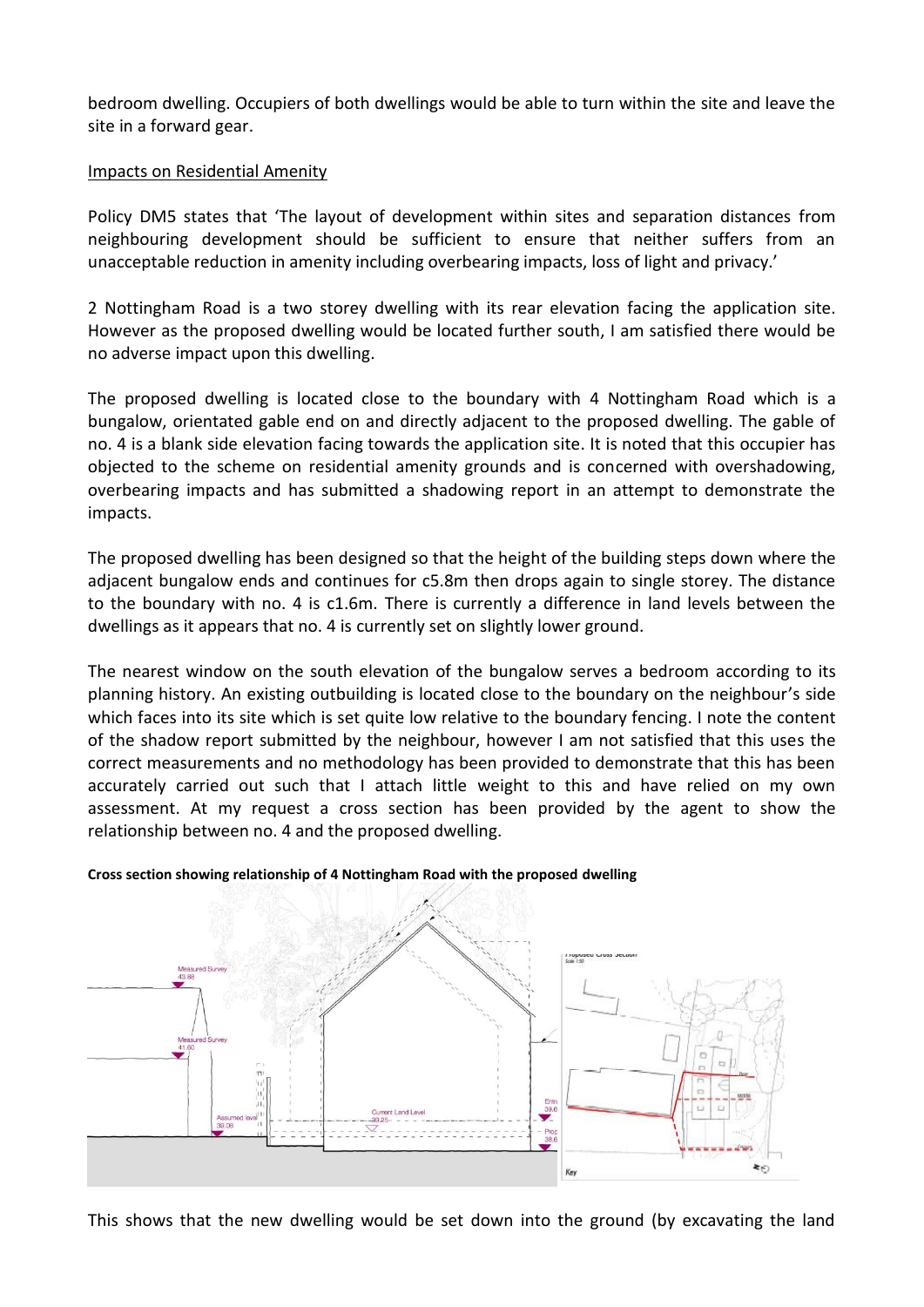bedroom dwelling. Occupiers of both dwellings would be able to turn within the site and leave the site in a forward gear.

## Impacts on Residential Amenity

Policy DM5 states that 'The layout of development within sites and separation distances from neighbouring development should be sufficient to ensure that neither suffers from an unacceptable reduction in amenity including overbearing impacts, loss of light and privacy.'

2 Nottingham Road is a two storey dwelling with its rear elevation facing the application site. However as the proposed dwelling would be located further south, I am satisfied there would be no adverse impact upon this dwelling.

The proposed dwelling is located close to the boundary with 4 Nottingham Road which is a bungalow, orientated gable end on and directly adjacent to the proposed dwelling. The gable of no. 4 is a blank side elevation facing towards the application site. It is noted that this occupier has objected to the scheme on residential amenity grounds and is concerned with overshadowing, overbearing impacts and has submitted a shadowing report in an attempt to demonstrate the impacts.

The proposed dwelling has been designed so that the height of the building steps down where the adjacent bungalow ends and continues for c5.8m then drops again to single storey. The distance to the boundary with no. 4 is c1.6m. There is currently a difference in land levels between the dwellings as it appears that no. 4 is currently set on slightly lower ground.

The nearest window on the south elevation of the bungalow serves a bedroom according to its planning history. An existing outbuilding is located close to the boundary on the neighbour's side which faces into its site which is set quite low relative to the boundary fencing. I note the content of the shadow report submitted by the neighbour, however I am not satisfied that this uses the correct measurements and no methodology has been provided to demonstrate that this has been accurately carried out such that I attach little weight to this and have relied on my own assessment. At my request a cross section has been provided by the agent to show the relationship between no. 4 and the proposed dwelling.



**Cross section showing relationship of 4 Nottingham Road with the proposed dwelling**

This shows that the new dwelling would be set down into the ground (by excavating the land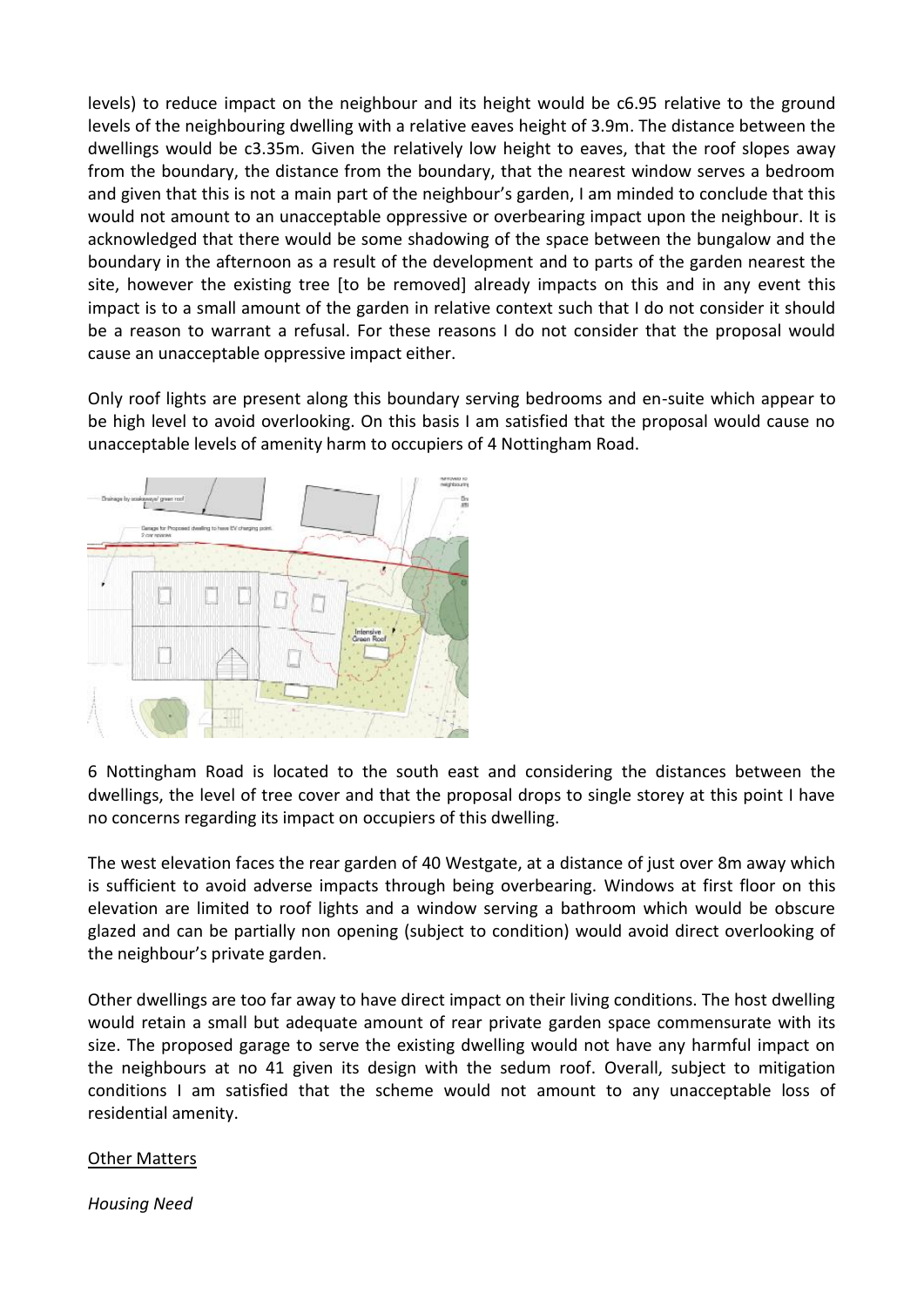levels) to reduce impact on the neighbour and its height would be c6.95 relative to the ground levels of the neighbouring dwelling with a relative eaves height of 3.9m. The distance between the dwellings would be c3.35m. Given the relatively low height to eaves, that the roof slopes away from the boundary, the distance from the boundary, that the nearest window serves a bedroom and given that this is not a main part of the neighbour's garden, I am minded to conclude that this would not amount to an unacceptable oppressive or overbearing impact upon the neighbour. It is acknowledged that there would be some shadowing of the space between the bungalow and the boundary in the afternoon as a result of the development and to parts of the garden nearest the site, however the existing tree [to be removed] already impacts on this and in any event this impact is to a small amount of the garden in relative context such that I do not consider it should be a reason to warrant a refusal. For these reasons I do not consider that the proposal would cause an unacceptable oppressive impact either.

Only roof lights are present along this boundary serving bedrooms and en-suite which appear to be high level to avoid overlooking. On this basis I am satisfied that the proposal would cause no unacceptable levels of amenity harm to occupiers of 4 Nottingham Road.



6 Nottingham Road is located to the south east and considering the distances between the dwellings, the level of tree cover and that the proposal drops to single storey at this point I have no concerns regarding its impact on occupiers of this dwelling.

The west elevation faces the rear garden of 40 Westgate, at a distance of just over 8m away which is sufficient to avoid adverse impacts through being overbearing. Windows at first floor on this elevation are limited to roof lights and a window serving a bathroom which would be obscure glazed and can be partially non opening (subject to condition) would avoid direct overlooking of the neighbour's private garden.

Other dwellings are too far away to have direct impact on their living conditions. The host dwelling would retain a small but adequate amount of rear private garden space commensurate with its size. The proposed garage to serve the existing dwelling would not have any harmful impact on the neighbours at no 41 given its design with the sedum roof. Overall, subject to mitigation conditions I am satisfied that the scheme would not amount to any unacceptable loss of residential amenity.

## Other Matters

*Housing Need*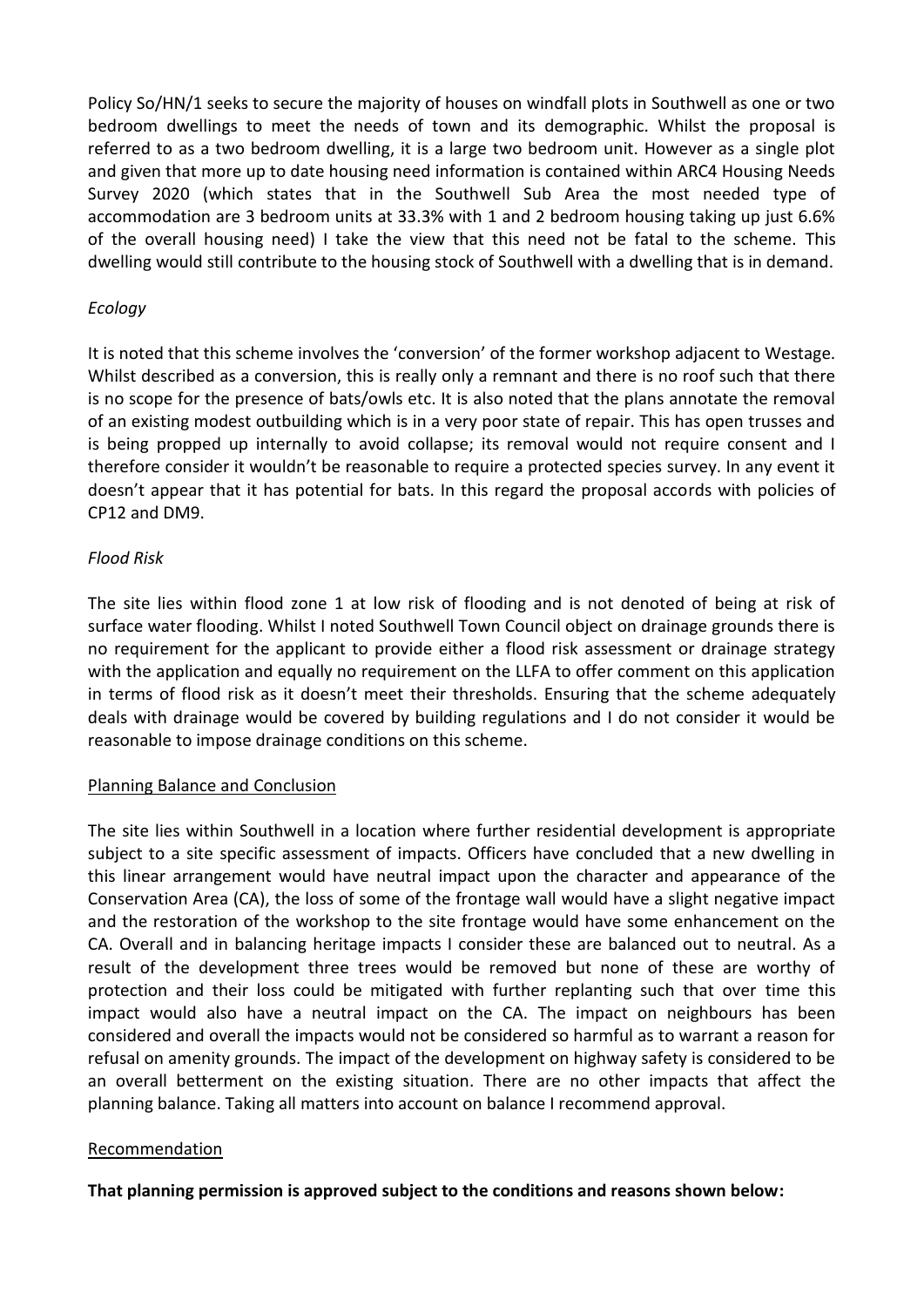Policy So/HN/1 seeks to secure the majority of houses on windfall plots in Southwell as one or two bedroom dwellings to meet the needs of town and its demographic. Whilst the proposal is referred to as a two bedroom dwelling, it is a large two bedroom unit. However as a single plot and given that more up to date housing need information is contained within ARC4 Housing Needs Survey 2020 (which states that in the Southwell Sub Area the most needed type of accommodation are 3 bedroom units at 33.3% with 1 and 2 bedroom housing taking up just 6.6% of the overall housing need) I take the view that this need not be fatal to the scheme. This dwelling would still contribute to the housing stock of Southwell with a dwelling that is in demand.

# *Ecology*

It is noted that this scheme involves the 'conversion' of the former workshop adjacent to Westage. Whilst described as a conversion, this is really only a remnant and there is no roof such that there is no scope for the presence of bats/owls etc. It is also noted that the plans annotate the removal of an existing modest outbuilding which is in a very poor state of repair. This has open trusses and is being propped up internally to avoid collapse; its removal would not require consent and I therefore consider it wouldn't be reasonable to require a protected species survey. In any event it doesn't appear that it has potential for bats. In this regard the proposal accords with policies of CP12 and DM9.

# *Flood Risk*

The site lies within flood zone 1 at low risk of flooding and is not denoted of being at risk of surface water flooding. Whilst I noted Southwell Town Council object on drainage grounds there is no requirement for the applicant to provide either a flood risk assessment or drainage strategy with the application and equally no requirement on the LLFA to offer comment on this application in terms of flood risk as it doesn't meet their thresholds. Ensuring that the scheme adequately deals with drainage would be covered by building regulations and I do not consider it would be reasonable to impose drainage conditions on this scheme.

## Planning Balance and Conclusion

The site lies within Southwell in a location where further residential development is appropriate subject to a site specific assessment of impacts. Officers have concluded that a new dwelling in this linear arrangement would have neutral impact upon the character and appearance of the Conservation Area (CA), the loss of some of the frontage wall would have a slight negative impact and the restoration of the workshop to the site frontage would have some enhancement on the CA. Overall and in balancing heritage impacts I consider these are balanced out to neutral. As a result of the development three trees would be removed but none of these are worthy of protection and their loss could be mitigated with further replanting such that over time this impact would also have a neutral impact on the CA. The impact on neighbours has been considered and overall the impacts would not be considered so harmful as to warrant a reason for refusal on amenity grounds. The impact of the development on highway safety is considered to be an overall betterment on the existing situation. There are no other impacts that affect the planning balance. Taking all matters into account on balance I recommend approval.

## Recommendation

**That planning permission is approved subject to the conditions and reasons shown below:**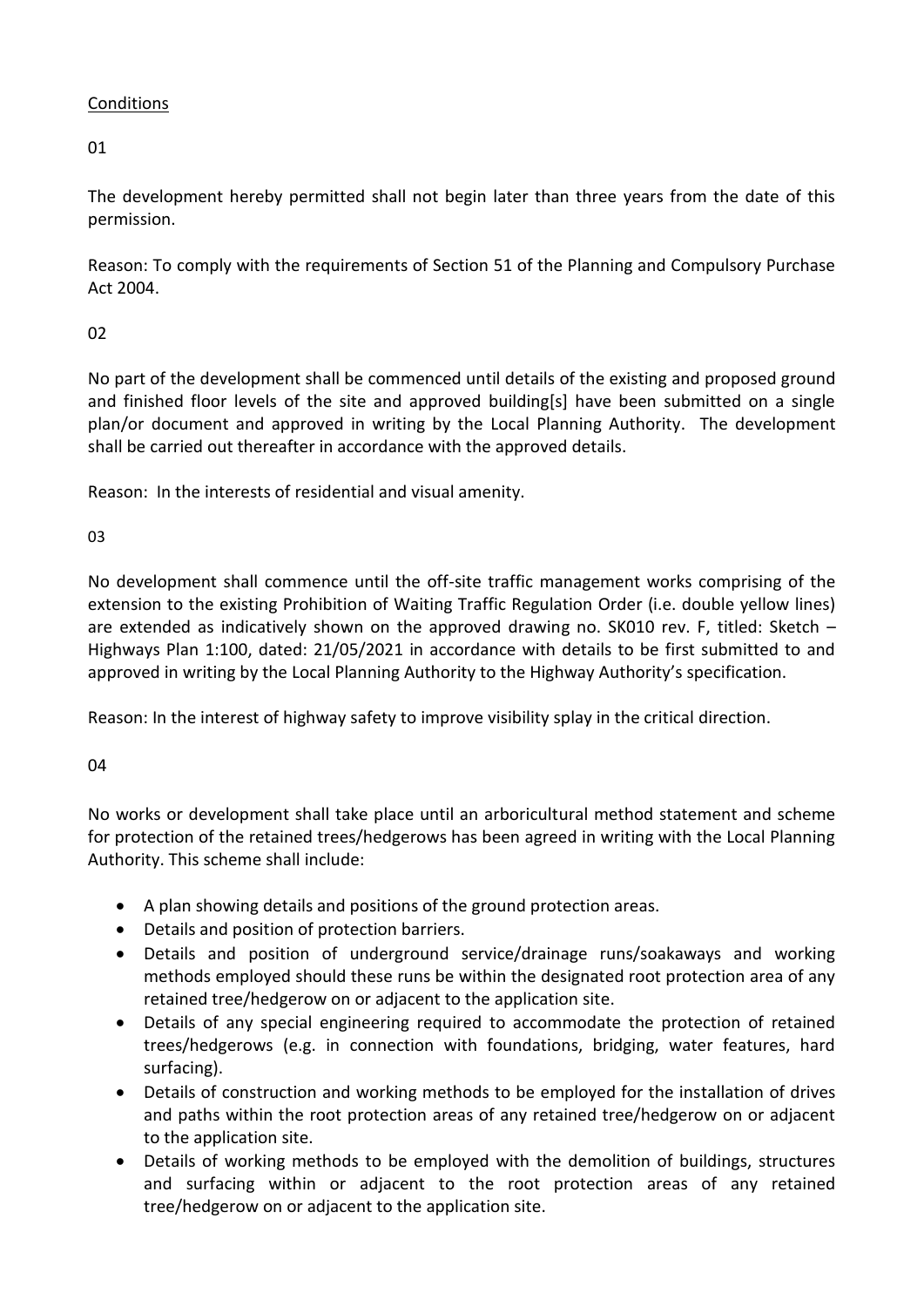# **Conditions**

01

The development hereby permitted shall not begin later than three years from the date of this permission.

Reason: To comply with the requirements of Section 51 of the Planning and Compulsory Purchase Act 2004.

# 02

No part of the development shall be commenced until details of the existing and proposed ground and finished floor levels of the site and approved building[s] have been submitted on a single plan/or document and approved in writing by the Local Planning Authority. The development shall be carried out thereafter in accordance with the approved details.

Reason: In the interests of residential and visual amenity.

03

No development shall commence until the off-site traffic management works comprising of the extension to the existing Prohibition of Waiting Traffic Regulation Order (i.e. double yellow lines) are extended as indicatively shown on the approved drawing no. SK010 rev. F, titled: Sketch – Highways Plan 1:100, dated: 21/05/2021 in accordance with details to be first submitted to and approved in writing by the Local Planning Authority to the Highway Authority's specification.

Reason: In the interest of highway safety to improve visibility splay in the critical direction.

# 04

No works or development shall take place until an arboricultural method statement and scheme for protection of the retained trees/hedgerows has been agreed in writing with the Local Planning Authority. This scheme shall include:

- A plan showing details and positions of the ground protection areas.
- Details and position of protection barriers.
- Details and position of underground service/drainage runs/soakaways and working methods employed should these runs be within the designated root protection area of any retained tree/hedgerow on or adjacent to the application site.
- Details of any special engineering required to accommodate the protection of retained trees/hedgerows (e.g. in connection with foundations, bridging, water features, hard surfacing).
- Details of construction and working methods to be employed for the installation of drives and paths within the root protection areas of any retained tree/hedgerow on or adjacent to the application site.
- Details of working methods to be employed with the demolition of buildings, structures and surfacing within or adjacent to the root protection areas of any retained tree/hedgerow on or adjacent to the application site.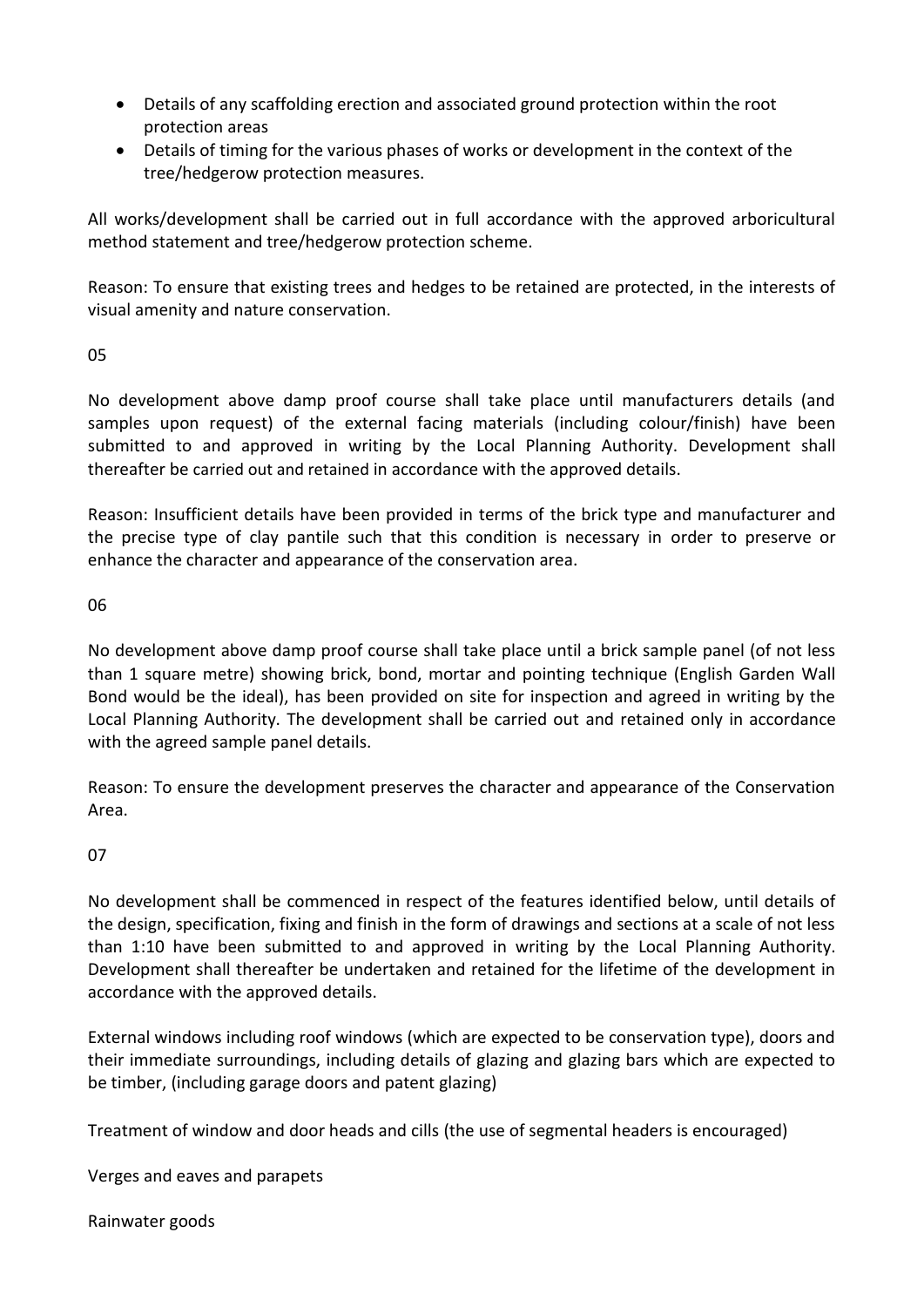- Details of any scaffolding erection and associated ground protection within the root protection areas
- Details of timing for the various phases of works or development in the context of the tree/hedgerow protection measures.

All works/development shall be carried out in full accordance with the approved arboricultural method statement and tree/hedgerow protection scheme.

Reason: To ensure that existing trees and hedges to be retained are protected, in the interests of visual amenity and nature conservation.

# 05

No development above damp proof course shall take place until manufacturers details (and samples upon request) of the external facing materials (including colour/finish) have been submitted to and approved in writing by the Local Planning Authority. Development shall thereafter be carried out and retained in accordance with the approved details.

Reason: Insufficient details have been provided in terms of the brick type and manufacturer and the precise type of clay pantile such that this condition is necessary in order to preserve or enhance the character and appearance of the conservation area.

# 06

No development above damp proof course shall take place until a brick sample panel (of not less than 1 square metre) showing brick, bond, mortar and pointing technique (English Garden Wall Bond would be the ideal), has been provided on site for inspection and agreed in writing by the Local Planning Authority. The development shall be carried out and retained only in accordance with the agreed sample panel details.

Reason: To ensure the development preserves the character and appearance of the Conservation Area.

# 07

No development shall be commenced in respect of the features identified below, until details of the design, specification, fixing and finish in the form of drawings and sections at a scale of not less than 1:10 have been submitted to and approved in writing by the Local Planning Authority. Development shall thereafter be undertaken and retained for the lifetime of the development in accordance with the approved details.

External windows including roof windows (which are expected to be conservation type), doors and their immediate surroundings, including details of glazing and glazing bars which are expected to be timber, (including garage doors and patent glazing)

Treatment of window and door heads and cills (the use of segmental headers is encouraged)

Verges and eaves and parapets

Rainwater goods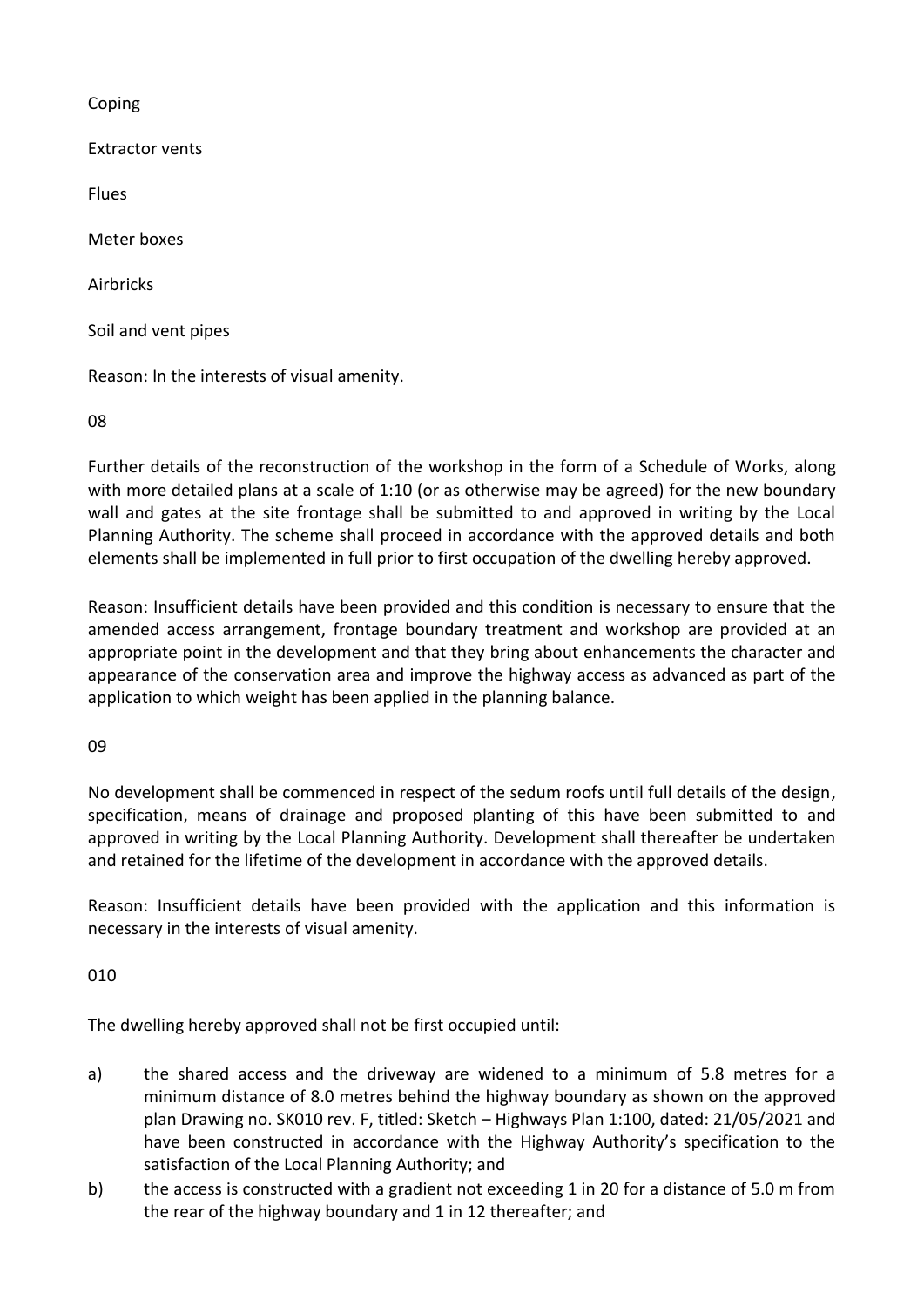Coping

Extractor vents

Flues

Meter boxes

Airbricks

Soil and vent pipes

Reason: In the interests of visual amenity.

08

Further details of the reconstruction of the workshop in the form of a Schedule of Works, along with more detailed plans at a scale of 1:10 (or as otherwise may be agreed) for the new boundary wall and gates at the site frontage shall be submitted to and approved in writing by the Local Planning Authority. The scheme shall proceed in accordance with the approved details and both elements shall be implemented in full prior to first occupation of the dwelling hereby approved.

Reason: Insufficient details have been provided and this condition is necessary to ensure that the amended access arrangement, frontage boundary treatment and workshop are provided at an appropriate point in the development and that they bring about enhancements the character and appearance of the conservation area and improve the highway access as advanced as part of the application to which weight has been applied in the planning balance.

09

No development shall be commenced in respect of the sedum roofs until full details of the design, specification, means of drainage and proposed planting of this have been submitted to and approved in writing by the Local Planning Authority. Development shall thereafter be undertaken and retained for the lifetime of the development in accordance with the approved details.

Reason: Insufficient details have been provided with the application and this information is necessary in the interests of visual amenity.

010

The dwelling hereby approved shall not be first occupied until:

- a) the shared access and the driveway are widened to a minimum of 5.8 metres for a minimum distance of 8.0 metres behind the highway boundary as shown on the approved plan Drawing no. SK010 rev. F, titled: Sketch – Highways Plan 1:100, dated: 21/05/2021 and have been constructed in accordance with the Highway Authority's specification to the satisfaction of the Local Planning Authority; and
- b) the access is constructed with a gradient not exceeding 1 in 20 for a distance of 5.0 m from the rear of the highway boundary and 1 in 12 thereafter; and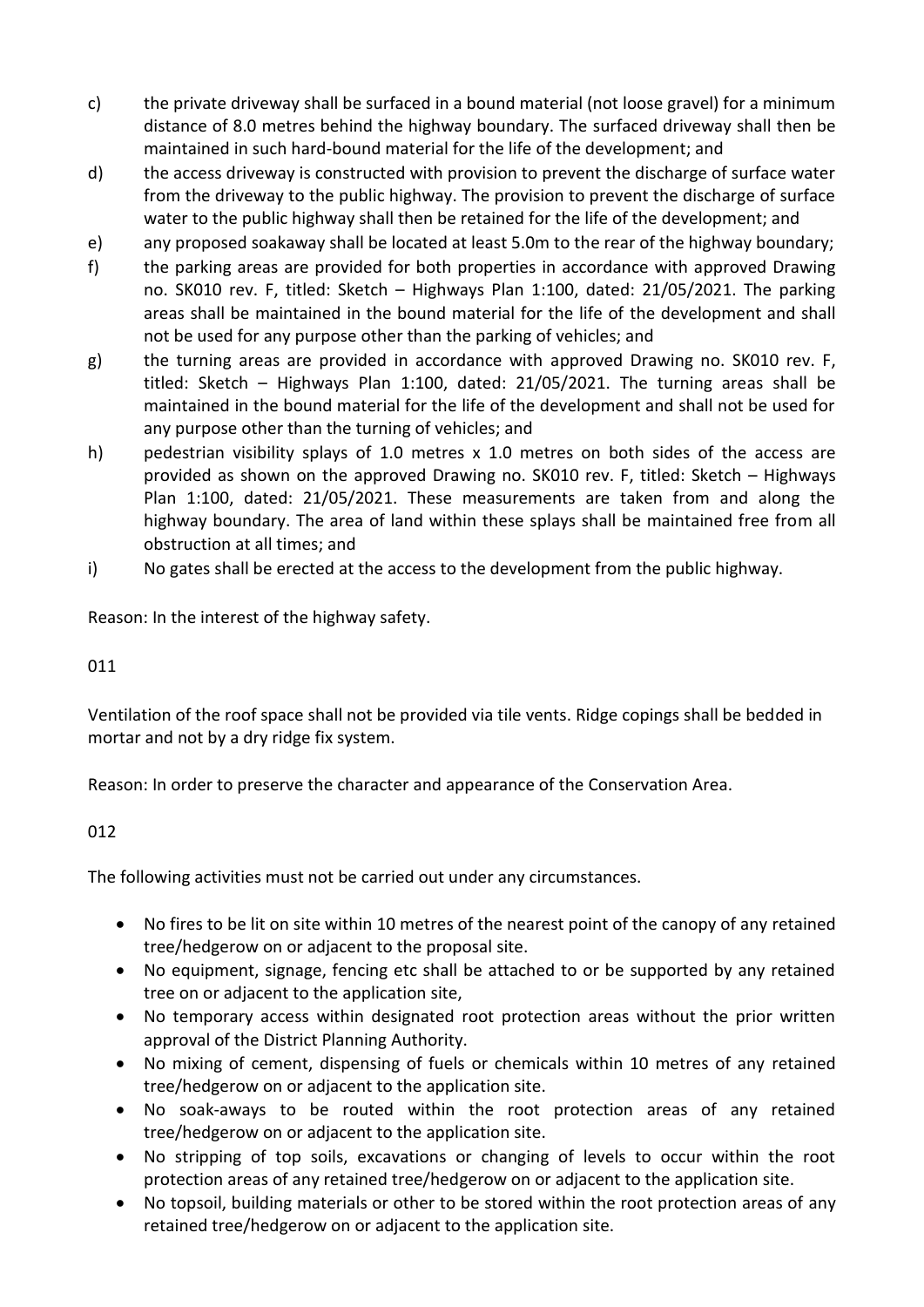- c) the private driveway shall be surfaced in a bound material (not loose gravel) for a minimum distance of 8.0 metres behind the highway boundary. The surfaced driveway shall then be maintained in such hard-bound material for the life of the development; and
- d) the access driveway is constructed with provision to prevent the discharge of surface water from the driveway to the public highway. The provision to prevent the discharge of surface water to the public highway shall then be retained for the life of the development; and
- e) any proposed soakaway shall be located at least 5.0m to the rear of the highway boundary;
- f) the parking areas are provided for both properties in accordance with approved Drawing no. SK010 rev. F, titled: Sketch – Highways Plan 1:100, dated: 21/05/2021. The parking areas shall be maintained in the bound material for the life of the development and shall not be used for any purpose other than the parking of vehicles; and
- g) the turning areas are provided in accordance with approved Drawing no. SK010 rev. F, titled: Sketch – Highways Plan 1:100, dated: 21/05/2021. The turning areas shall be maintained in the bound material for the life of the development and shall not be used for any purpose other than the turning of vehicles; and
- h) pedestrian visibility splays of 1.0 metres x 1.0 metres on both sides of the access are provided as shown on the approved Drawing no. SK010 rev. F, titled: Sketch – Highways Plan 1:100, dated: 21/05/2021. These measurements are taken from and along the highway boundary. The area of land within these splays shall be maintained free from all obstruction at all times; and
- i) No gates shall be erected at the access to the development from the public highway.

Reason: In the interest of the highway safety.

## 011

Ventilation of the roof space shall not be provided via tile vents. Ridge copings shall be bedded in mortar and not by a dry ridge fix system.

Reason: In order to preserve the character and appearance of the Conservation Area.

# 012

The following activities must not be carried out under any circumstances.

- No fires to be lit on site within 10 metres of the nearest point of the canopy of any retained tree/hedgerow on or adjacent to the proposal site.
- No equipment, signage, fencing etc shall be attached to or be supported by any retained tree on or adjacent to the application site,
- No temporary access within designated root protection areas without the prior written approval of the District Planning Authority.
- No mixing of cement, dispensing of fuels or chemicals within 10 metres of any retained tree/hedgerow on or adjacent to the application site.
- No soak-aways to be routed within the root protection areas of any retained tree/hedgerow on or adjacent to the application site.
- No stripping of top soils, excavations or changing of levels to occur within the root protection areas of any retained tree/hedgerow on or adjacent to the application site.
- No topsoil, building materials or other to be stored within the root protection areas of any retained tree/hedgerow on or adjacent to the application site.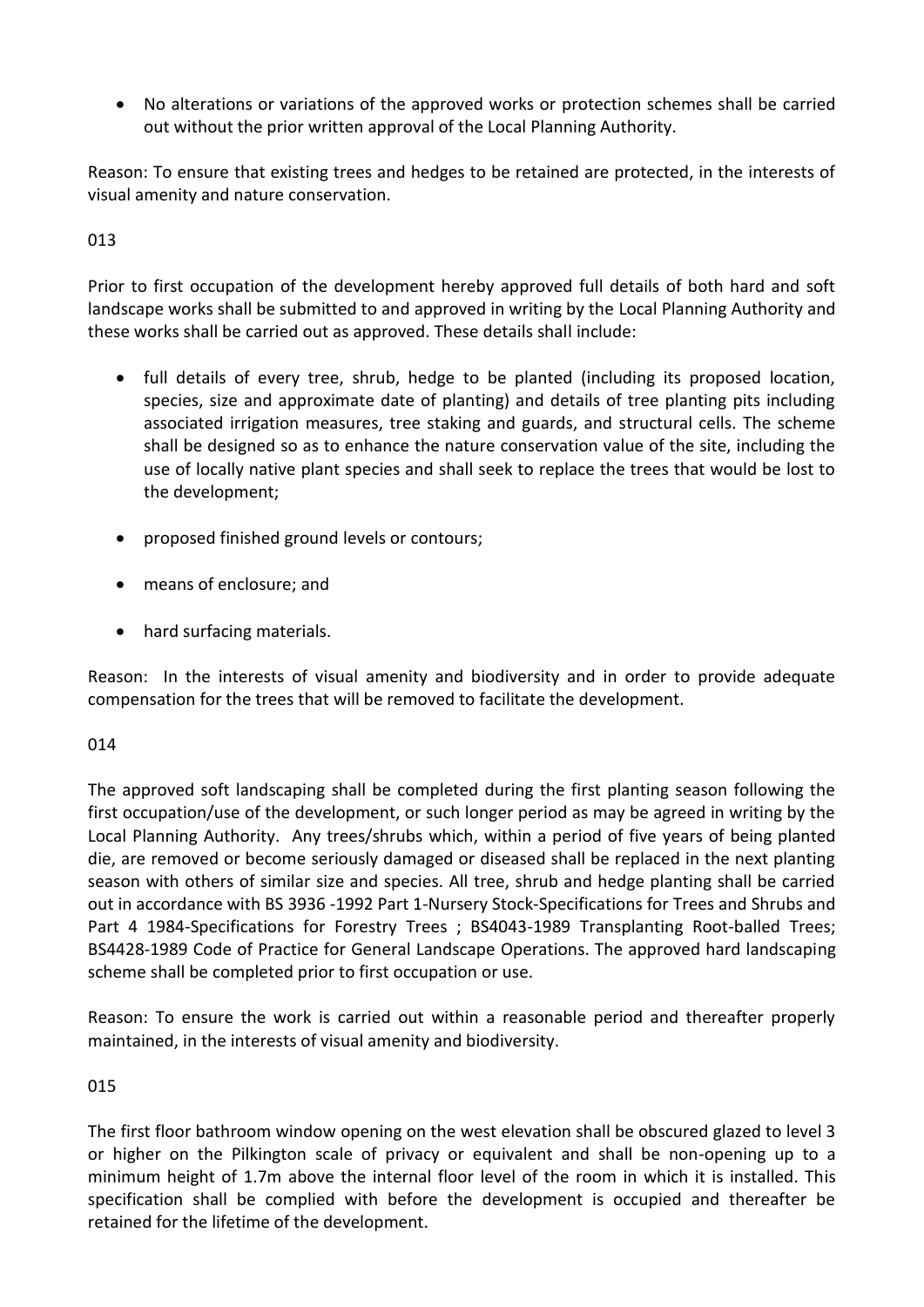No alterations or variations of the approved works or protection schemes shall be carried out without the prior written approval of the Local Planning Authority.

Reason: To ensure that existing trees and hedges to be retained are protected, in the interests of visual amenity and nature conservation.

# 013

Prior to first occupation of the development hereby approved full details of both hard and soft landscape works shall be submitted to and approved in writing by the Local Planning Authority and these works shall be carried out as approved. These details shall include:

- full details of every tree, shrub, hedge to be planted (including its proposed location, species, size and approximate date of planting) and details of tree planting pits including associated irrigation measures, tree staking and guards, and structural cells. The scheme shall be designed so as to enhance the nature conservation value of the site, including the use of locally native plant species and shall seek to replace the trees that would be lost to the development;
- proposed finished ground levels or contours;
- means of enclosure; and
- hard surfacing materials.

Reason: In the interests of visual amenity and biodiversity and in order to provide adequate compensation for the trees that will be removed to facilitate the development.

# 014

The approved soft landscaping shall be completed during the first planting season following the first occupation/use of the development, or such longer period as may be agreed in writing by the Local Planning Authority. Any trees/shrubs which, within a period of five years of being planted die, are removed or become seriously damaged or diseased shall be replaced in the next planting season with others of similar size and species. All tree, shrub and hedge planting shall be carried out in accordance with BS 3936 -1992 Part 1-Nursery Stock-Specifications for Trees and Shrubs and Part 4 1984-Specifications for Forestry Trees ; BS4043-1989 Transplanting Root-balled Trees; BS4428-1989 Code of Practice for General Landscape Operations. The approved hard landscaping scheme shall be completed prior to first occupation or use.

Reason: To ensure the work is carried out within a reasonable period and thereafter properly maintained, in the interests of visual amenity and biodiversity.

# 015

The first floor bathroom window opening on the west elevation shall be obscured glazed to level 3 or higher on the Pilkington scale of privacy or equivalent and shall be non-opening up to a minimum height of 1.7m above the internal floor level of the room in which it is installed. This specification shall be complied with before the development is occupied and thereafter be retained for the lifetime of the development.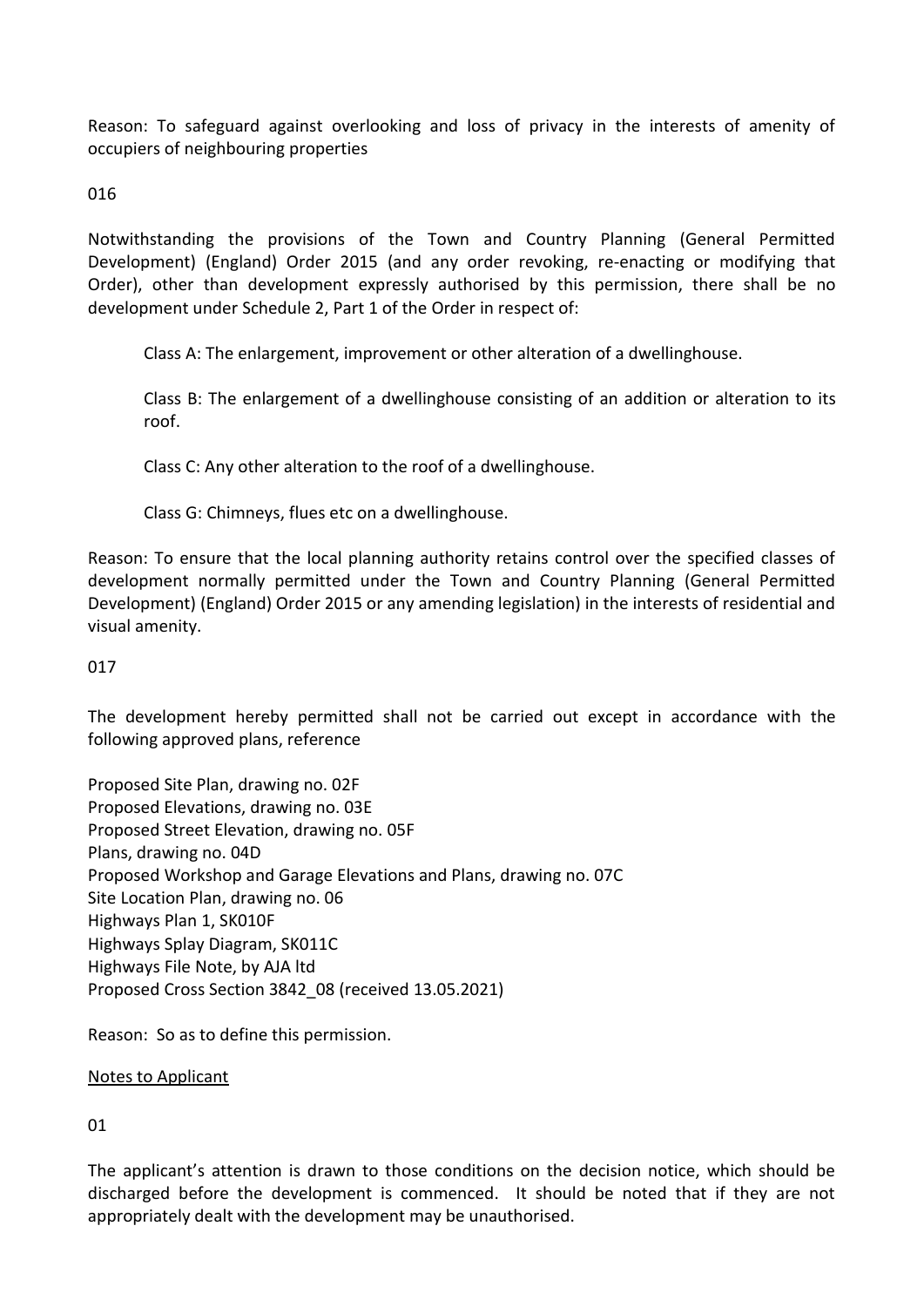Reason: To safeguard against overlooking and loss of privacy in the interests of amenity of occupiers of neighbouring properties

016

Notwithstanding the provisions of the Town and Country Planning (General Permitted Development) (England) Order 2015 (and any order revoking, re-enacting or modifying that Order), other than development expressly authorised by this permission, there shall be no development under Schedule 2, Part 1 of the Order in respect of:

Class A: The enlargement, improvement or other alteration of a dwellinghouse.

Class B: The enlargement of a dwellinghouse consisting of an addition or alteration to its roof.

Class C: Any other alteration to the roof of a dwellinghouse.

Class G: Chimneys, flues etc on a dwellinghouse.

Reason: To ensure that the local planning authority retains control over the specified classes of development normally permitted under the Town and Country Planning (General Permitted Development) (England) Order 2015 or any amending legislation) in the interests of residential and visual amenity.

## 017

The development hereby permitted shall not be carried out except in accordance with the following approved plans, reference

Proposed Site Plan, drawing no. 02F Proposed Elevations, drawing no. 03E Proposed Street Elevation, drawing no. 05F Plans, drawing no. 04D Proposed Workshop and Garage Elevations and Plans, drawing no. 07C Site Location Plan, drawing no. 06 Highways Plan 1, SK010F Highways Splay Diagram, SK011C Highways File Note, by AJA ltd Proposed Cross Section 3842\_08 (received 13.05.2021)

Reason: So as to define this permission.

Notes to Applicant

01

The applicant's attention is drawn to those conditions on the decision notice, which should be discharged before the development is commenced. It should be noted that if they are not appropriately dealt with the development may be unauthorised.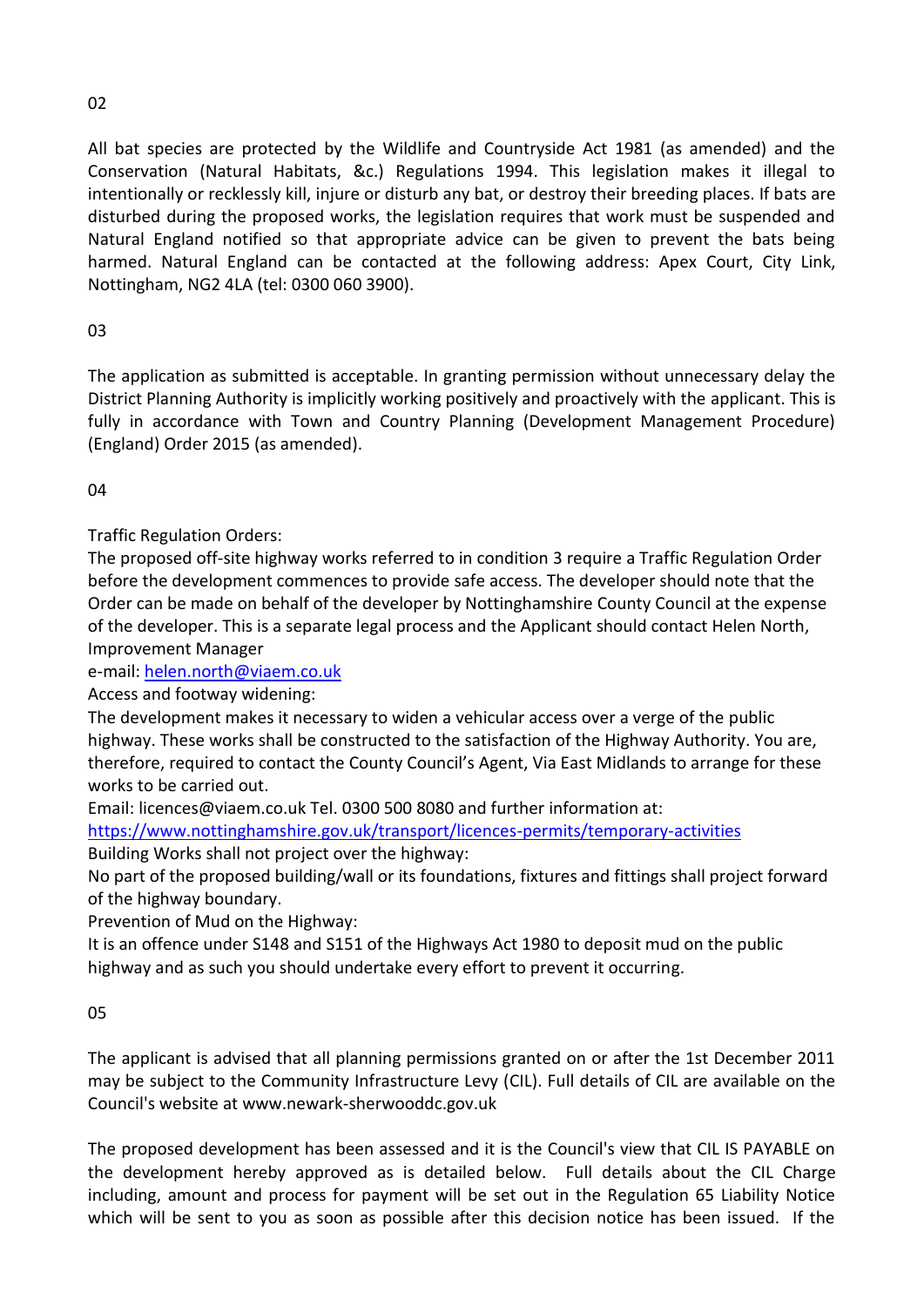# 02

All bat species are protected by the Wildlife and Countryside Act 1981 (as amended) and the Conservation (Natural Habitats, &c.) Regulations 1994. This legislation makes it illegal to intentionally or recklessly kill, injure or disturb any bat, or destroy their breeding places. If bats are disturbed during the proposed works, the legislation requires that work must be suspended and Natural England notified so that appropriate advice can be given to prevent the bats being harmed. Natural England can be contacted at the following address: Apex Court, City Link, Nottingham, NG2 4LA (tel: 0300 060 3900).

# 03

The application as submitted is acceptable. In granting permission without unnecessary delay the District Planning Authority is implicitly working positively and proactively with the applicant. This is fully in accordance with Town and Country Planning (Development Management Procedure) (England) Order 2015 (as amended).

04

Traffic Regulation Orders:

The proposed off-site highway works referred to in condition 3 require a Traffic Regulation Order before the development commences to provide safe access. The developer should note that the Order can be made on behalf of the developer by Nottinghamshire County Council at the expense of the developer. This is a separate legal process and the Applicant should contact Helen North, Improvement Manager

e-mail: [helen.north@viaem.co.uk](mailto:helen.north@viaem.co.uk)

Access and footway widening:

The development makes it necessary to widen a vehicular access over a verge of the public highway. These works shall be constructed to the satisfaction of the Highway Authority. You are, therefore, required to contact the County Council's Agent, Via East Midlands to arrange for these works to be carried out.

Email: licences@viaem.co.uk Tel. 0300 500 8080 and further information at:

<https://www.nottinghamshire.gov.uk/transport/licences-permits/temporary-activities>

Building Works shall not project over the highway:

No part of the proposed building/wall or its foundations, fixtures and fittings shall project forward of the highway boundary.

Prevention of Mud on the Highway:

It is an offence under S148 and S151 of the Highways Act 1980 to deposit mud on the public highway and as such you should undertake every effort to prevent it occurring.

05

The applicant is advised that all planning permissions granted on or after the 1st December 2011 may be subject to the Community Infrastructure Levy (CIL). Full details of CIL are available on the Council's website at www.newark-sherwooddc.gov.uk

The proposed development has been assessed and it is the Council's view that CIL IS PAYABLE on the development hereby approved as is detailed below. Full details about the CIL Charge including, amount and process for payment will be set out in the Regulation 65 Liability Notice which will be sent to you as soon as possible after this decision notice has been issued. If the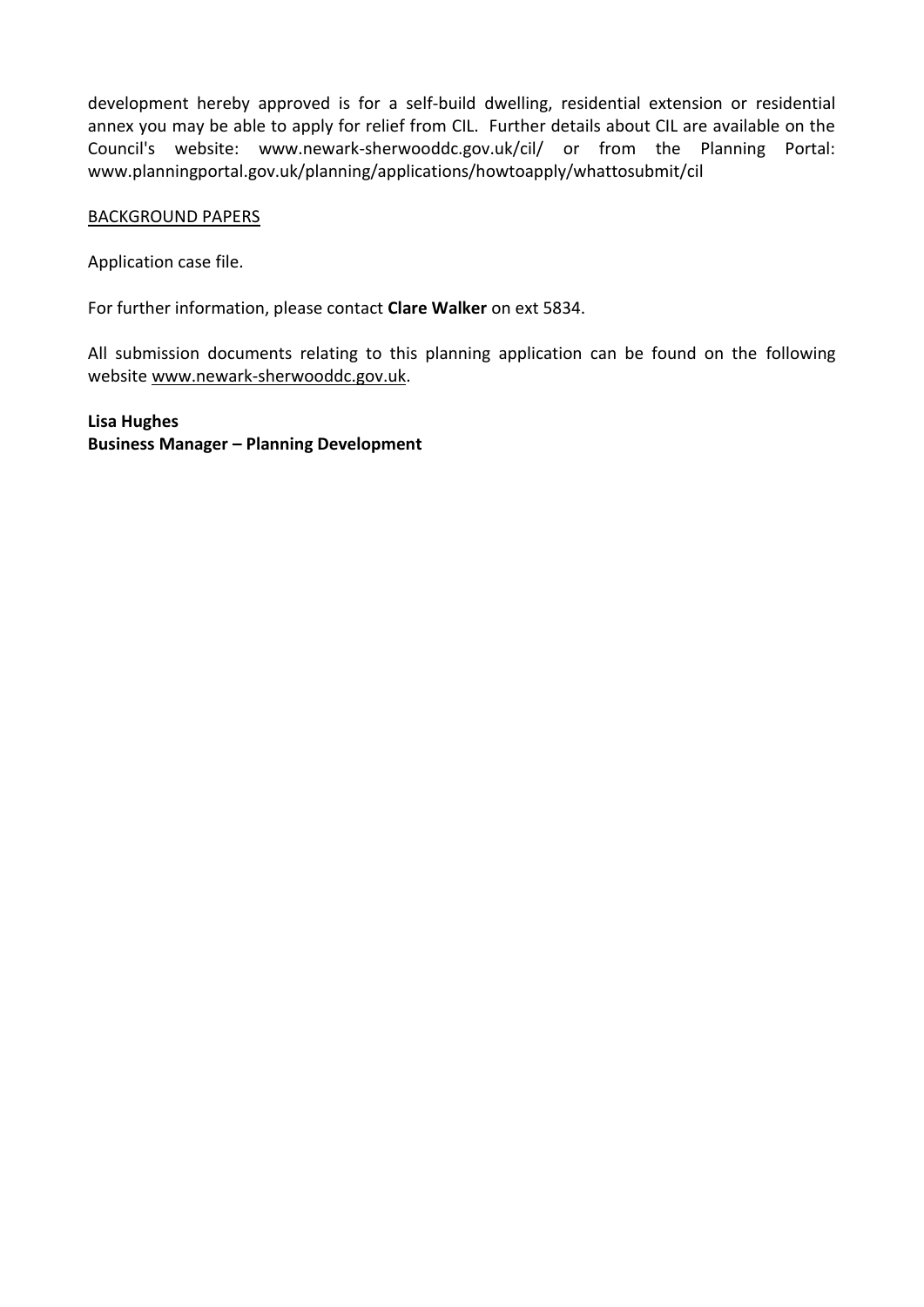development hereby approved is for a self-build dwelling, residential extension or residential annex you may be able to apply for relief from CIL. Further details about CIL are available on the Council's website: www.newark-sherwooddc.gov.uk/cil/ or from the Planning Portal: www.planningportal.gov.uk/planning/applications/howtoapply/whattosubmit/cil

## BACKGROUND PAPERS

Application case file.

For further information, please contact **Clare Walker** on ext 5834.

All submission documents relating to this planning application can be found on the following websit[e www.newark-sherwooddc.gov.uk.](http://www.newark-sherwooddc.gov.uk/)

**Lisa Hughes Business Manager – Planning Development**